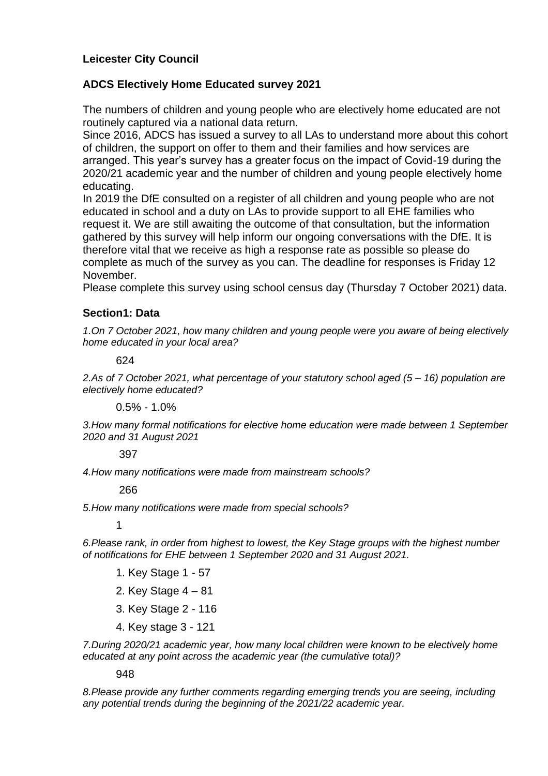# **Leicester City Council**

## **ADCS Electively Home Educated survey 2021**

The numbers of children and young people who are electively home educated are not routinely captured via a national data return.

Since 2016, ADCS has issued a survey to all LAs to understand more about this cohort of children, the support on offer to them and their families and how services are arranged. This year's survey has a greater focus on the impact of Covid-19 during the 2020/21 academic year and the number of children and young people electively home educating.

In 2019 the DfE consulted on a register of all children and young people who are not educated in school and a duty on LAs to provide support to all EHE families who request it. We are still awaiting the outcome of that consultation, but the information gathered by this survey will help inform our ongoing conversations with the DfE. It is therefore vital that we receive as high a response rate as possible so please do complete as much of the survey as you can. The deadline for responses is Friday 12 November.

Please complete this survey using school census day (Thursday 7 October 2021) data.

## **Section1: Data**

*1.On 7 October 2021, how many children and young people were you aware of being electively home educated in your local area?* 

624

*2.As of 7 October 2021, what percentage of your statutory school aged (5 – 16) population are electively home educated?*

 $0.5\% - 1.0\%$ 

*3.How many formal notifications for elective home education were made between 1 September 2020 and 31 August 2021*

## 397

*4.How many notifications were made from mainstream schools?*

### 266

*5.How many notifications were made from special schools?* 

1

*6.Please rank, in order from highest to lowest, the Key Stage groups with the highest number of notifications for EHE between 1 September 2020 and 31 August 2021.*

- 1. Key Stage 1 57
- 2. Key Stage 4 81
- 3. Key Stage 2 116
- 4. Key stage 3 121

*7.During 2020/21 academic year, how many local children were known to be electively home educated at any point across the academic year (the cumulative total)?*

### 948

*8.Please provide any further comments regarding emerging trends you are seeing, including any potential trends during the beginning of the 2021/22 academic year.*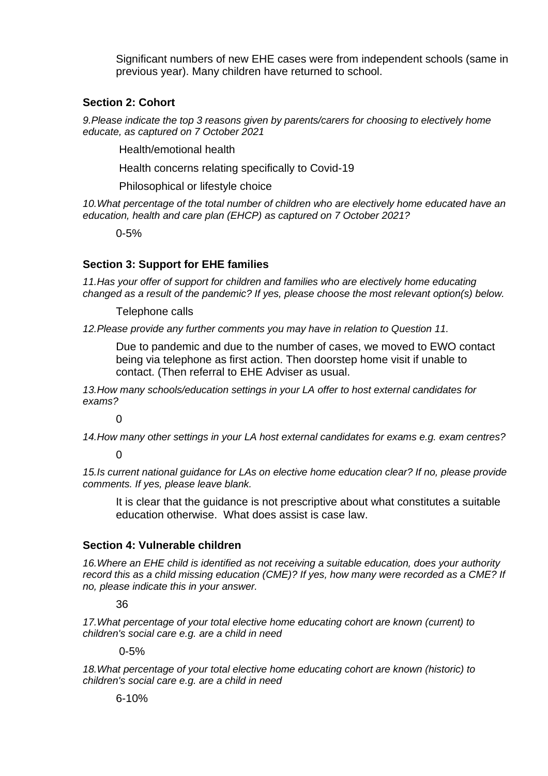Significant numbers of new EHE cases were from independent schools (same in previous year). Many children have returned to school.

## **Section 2: Cohort**

*9.Please indicate the top 3 reasons given by parents/carers for choosing to electively home educate, as captured on 7 October 2021*

Health/emotional health

Health concerns relating specifically to Covid-19

Philosophical or lifestyle choice

10. What percentage of the total number of children who are electively home educated have an *education, health and care plan (EHCP) as captured on 7 October 2021?* 

0-5%

## **Section 3: Support for EHE families**

*11.Has your offer of support for children and families who are electively home educating changed as a result of the pandemic? If yes, please choose the most relevant option(s) below.*

Telephone calls

*12.Please provide any further comments you may have in relation to Question 11.*

Due to pandemic and due to the number of cases, we moved to EWO contact being via telephone as first action. Then doorstep home visit if unable to contact. (Then referral to EHE Adviser as usual.

*13.How many schools/education settings in your LA offer to host external candidates for exams?* 

 $\Omega$ 

*14.How many other settings in your LA host external candidates for exams e.g. exam centres?* 

0

*15.Is current national guidance for LAs on elective home education clear? If no, please provide comments. If yes, please leave blank.*

It is clear that the guidance is not prescriptive about what constitutes a suitable education otherwise. What does assist is case law.

## **Section 4: Vulnerable children**

*16.Where an EHE child is identified as not receiving a suitable education, does your authority record this as a child missing education (CME)? If yes, how many were recorded as a CME? If no, please indicate this in your answer.*

36

*17.What percentage of your total elective home educating cohort are known (current) to children's social care e.g. are a child in need* 

0-5%

*18.What percentage of your total elective home educating cohort are known (historic) to children's social care e.g. are a child in need* 

6-10%